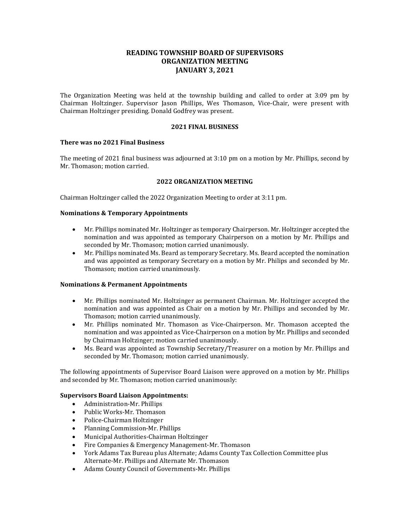# **READING TOWNSHIP BOARD OF SUPERVISORS ORGANIZATION MEETING JANUARY 3, 2021**

The Organization Meeting was held at the township building and called to order at 3:09 pm by Chairman Holtzinger. Supervisor Jason Phillips, Wes Thomason, Vice-Chair, were present with Chairman Holtzinger presiding. Donald Godfrey was present.

# **2021 FINAL BUSINESS**

# **There was no 2021 Final Business**

The meeting of 2021 final business was adjourned at 3:10 pm on a motion by Mr. Phillips, second by Mr. Thomason; motion carried.

# **2022 ORGANIZATION MEETING**

Chairman Holtzinger called the 2022 Organization Meeting to order at 3:11 pm.

# **Nominations & Temporary Appointments**

- Mr. Phillips nominated Mr. Holtzinger as temporary Chairperson. Mr. Holtzinger accepted the nomination and was appointed as temporary Chairperson on a motion by Mr. Phillips and seconded by Mr. Thomason; motion carried unanimously.
- Mr. Phillips nominated Ms. Beard as temporary Secretary. Ms. Beard accepted the nomination and was appointed as temporary Secretary on a motion by Mr. Philips and seconded by Mr. Thomason; motion carried unanimously.

#### **Nominations & Permanent Appointments**

- Mr. Phillips nominated Mr. Holtzinger as permanent Chairman. Mr. Holtzinger accepted the nomination and was appointed as Chair on a motion by Mr. Phillips and seconded by Mr. Thomason; motion carried unanimously.
- Mr. Phillips nominated Mr. Thomason as Vice-Chairperson. Mr. Thomason accepted the nomination and was appointed as Vice-Chairperson on a motion by Mr. Phillips and seconded by Chairman Holtzinger; motion carried unanimously.
- Ms. Beard was appointed as Township Secretary/Treasurer on a motion by Mr. Phillips and seconded by Mr. Thomason; motion carried unanimously.

The following appointments of Supervisor Board Liaison were approved on a motion by Mr. Phillips and seconded by Mr. Thomason; motion carried unanimously:

#### **Supervisors Board Liaison Appointments:**

- Administration-Mr. Phillips
- Public Works-Mr. Thomason
- Police-Chairman Holtzinger
- Planning Commission-Mr. Phillips
- Municipal Authorities-Chairman Holtzinger
- Fire Companies & Emergency Management-Mr. Thomason
- York Adams Tax Bureau plus Alternate; Adams County Tax Collection Committee plus Alternate-Mr. Phillips and Alternate Mr. Thomason
- Adams County Council of Governments-Mr. Phillips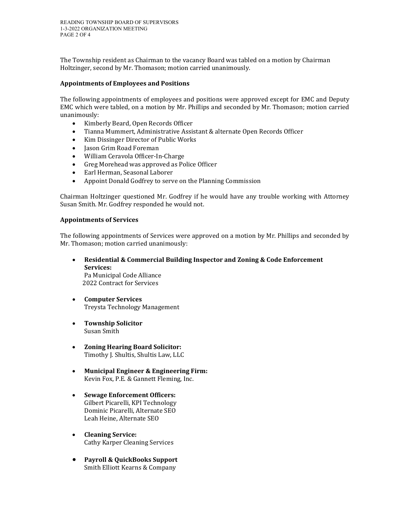The Township resident as Chairman to the vacancy Board was tabled on a motion by Chairman Holtzinger, second by Mr. Thomason; motion carried unanimously.

# **Appointments of Employees and Positions**

The following appointments of employees and positions were approved except for EMC and Deputy EMC which were tabled, on a motion by Mr. Phillips and seconded by Mr. Thomason; motion carried unanimously:

- Kimberly Beard, Open Records Officer
- Tianna Mummert, Administrative Assistant & alternate Open Records Officer
- Kim Dissinger Director of Public Works
- Jason Grim Road Foreman
- William Ceravola Officer-In-Charge
- Greg Morehead was approved as Police Officer
- Earl Herman, Seasonal Laborer
- Appoint Donald Godfrey to serve on the Planning Commission

Chairman Holtzinger questioned Mr. Godfrey if he would have any trouble working with Attorney Susan Smith. Mr. Godfrey responded he would not.

# **Appointments of Services**

The following appointments of Services were approved on a motion by Mr. Phillips and seconded by Mr. Thomason; motion carried unanimously:

- **Residential & Commercial Building Inspector and Zoning & Code Enforcement Services:** Pa Municipal Code Alliance 2022 Contract for Services
- **Computer Services** Treysta Technology Management
- **Township Solicitor** Susan Smith
- **Zoning Hearing Board Solicitor:** Timothy J. Shultis, Shultis Law, LLC
- **Municipal Engineer & Engineering Firm:**  Kevin Fox, P.E. & Gannett Fleming, Inc.
- **Sewage Enforcement Officers:** Gilbert Picarelli, KPI Technology Dominic Picarelli, Alternate SEO Leah Heine, Alternate SEO
- **Cleaning Service:** Cathy Karper Cleaning Services
- **Payroll & QuickBooks Support** Smith Elliott Kearns & Company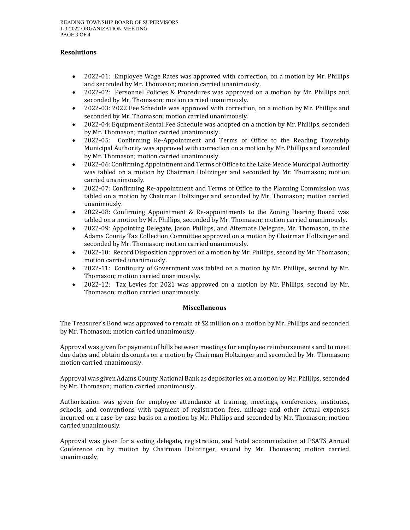### **Resolutions**

- 2022-01: Employee Wage Rates was approved with correction, on a motion by Mr. Phillips and seconded by Mr. Thomason; motion carried unanimously.
- 2022-02: Personnel Policies & Procedures was approved on a motion by Mr. Phillips and seconded by Mr. Thomason; motion carried unanimously.
- 2022-03: 2022 Fee Schedule was approved with correction, on a motion by Mr. Phillips and seconded by Mr. Thomason; motion carried unanimously.
- 2022-04: Equipment Rental Fee Schedule was adopted on a motion by Mr. Phillips, seconded by Mr. Thomason; motion carried unanimously.
- 2022-05: Confirming Re-Appointment and Terms of Office to the Reading Township Municipal Authority was approved with correction on a motion by Mr. Phillips and seconded by Mr. Thomason; motion carried unanimously.
- 2022-06: Confirming Appointment and Terms of Office to the Lake Meade Municipal Authority was tabled on a motion by Chairman Holtzinger and seconded by Mr. Thomason; motion carried unanimously.
- 2022-07: Confirming Re-appointment and Terms of Office to the Planning Commission was tabled on a motion by Chairman Holtzinger and seconded by Mr. Thomason; motion carried unanimously.
- 2022-08: Confirming Appointment & Re-appointments to the Zoning Hearing Board was tabled on a motion by Mr. Phillips, seconded by Mr. Thomason; motion carried unanimously.
- 2022-09: Appointing Delegate, Jason Phillips, and Alternate Delegate, Mr. Thomason, to the Adams County Tax Collection Committee approved on a motion by Chairman Holtzinger and seconded by Mr. Thomason; motion carried unanimously.
- 2022-10: Record Disposition approved on a motion by Mr. Phillips, second by Mr. Thomason; motion carried unanimously.
- 2022-11: Continuity of Government was tabled on a motion by Mr. Phillips, second by Mr. Thomason; motion carried unanimously.
- 2022-12: Tax Levies for 2021 was approved on a motion by Mr. Phillips, second by Mr. Thomason; motion carried unanimously.

# **Miscellaneous**

The Treasurer's Bond was approved to remain at \$2 million on a motion by Mr. Phillips and seconded by Mr. Thomason; motion carried unanimously.

Approval was given for payment of bills between meetings for employee reimbursements and to meet due dates and obtain discounts on a motion by Chairman Holtzinger and seconded by Mr. Thomason; motion carried unanimously.

Approval was given Adams County National Bank as depositories on a motion by Mr. Phillips, seconded by Mr. Thomason; motion carried unanimously.

Authorization was given for employee attendance at training, meetings, conferences, institutes, schools, and conventions with payment of registration fees, mileage and other actual expenses incurred on a case-by-case basis on a motion by Mr. Phillips and seconded by Mr. Thomason; motion carried unanimously.

Approval was given for a voting delegate, registration, and hotel accommodation at PSATS Annual Conference on by motion by Chairman Holtzinger, second by Mr. Thomason; motion carried unanimously.